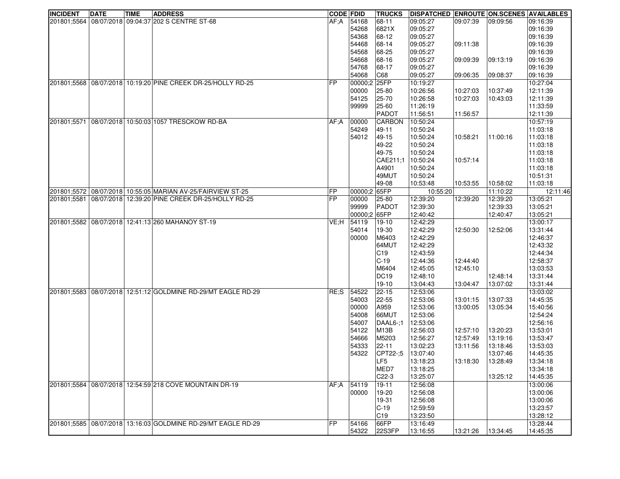| <b>INCIDENT</b> | <b>DATE</b> | <b>TIME</b> | <b>ADDRESS</b>                                                   | <b>CODE FDID</b>      |                  | <b>TRUCKS</b>   | DISPATCHED ENROUTE ON SCENES AVAILABLES |           |          |                      |
|-----------------|-------------|-------------|------------------------------------------------------------------|-----------------------|------------------|-----------------|-----------------------------------------|-----------|----------|----------------------|
|                 |             |             | 201801;5564 08/07/2018 09:04:37 202 S CENTRE ST-68               | AF:A                  | 54168            | 68-11           | 09:05:27                                | 109:07:39 | 09:09:56 | 09:16:39             |
|                 |             |             |                                                                  |                       | 54268            | 6821X           | 09:05:27                                |           |          | 09:16:39             |
|                 |             |             |                                                                  |                       | 54368            | 68-12           | 09:05:27                                |           |          | 09:16:39             |
|                 |             |             |                                                                  |                       | 54468            | 68-14           | 09:05:27                                | 09:11:38  |          | 09:16:39             |
|                 |             |             |                                                                  |                       | 54568            | 68-25           | 09:05:27                                |           |          | 09:16:39             |
|                 |             |             |                                                                  |                       | 54668            | 68-16           | 09:05:27                                | 09:09:39  | 09:13:19 | 09:16:39             |
|                 |             |             |                                                                  |                       | 54768            | 68-17           | 09:05:27                                |           |          | 09:16:39             |
|                 |             |             |                                                                  |                       | 54068            | C68             | 09:05:27                                | 09:06:35  | 09:08:37 | 09:16:39             |
|                 |             |             | 201801:5568   08/07/2018   10:19:20 PINE CREEK DR-25/HOLLY RD-25 | <b>FP</b>             | 00000:2          | 25FP            | 10:19:27                                |           |          | 10:27:04             |
|                 |             |             |                                                                  |                       | 00000            | 25-80           | 10:26:56                                | 10:27:03  | 10:37:49 | 12:11:39             |
|                 |             |             |                                                                  |                       | 54125            | 25-70           | 10:26:58                                | 10:27:03  | 10:43:03 | 12:11:39             |
|                 |             |             |                                                                  |                       | 99999            | 25-60           | 11:26:19                                |           |          | 11:33:59             |
|                 |             |             |                                                                  |                       |                  | <b>PADOT</b>    | 11:56:51                                | 11:56:57  |          | 12:11:39             |
|                 |             |             | 201801:5571 08/07/2018 10:50:03 1057 TRESCKOW RD-BA              | AF:A                  | 00000            | CARBON          | 10:50:24                                |           |          | 10:57:19             |
|                 |             |             |                                                                  |                       | 54249            | 49-11           | 10:50:24                                |           |          | 11:03:18             |
|                 |             |             |                                                                  |                       | 54012            | 49-15           | 10:50:24                                | 10:58:21  | 11:00:16 | 11:03:18             |
|                 |             |             |                                                                  |                       |                  | 49-22           | 10:50:24                                |           |          | 11:03:18             |
|                 |             |             |                                                                  |                       |                  | 49-75           | 10:50:24                                |           |          | 11:03:18             |
|                 |             |             |                                                                  |                       |                  | CAE211;1        | 10:50:24                                | 10:57:14  |          | 11:03:18             |
|                 |             |             |                                                                  |                       |                  | A4901           | 10:50:24                                |           |          | 11:03:18             |
|                 |             |             |                                                                  |                       |                  | 49MUT           | 10:50:24                                |           |          | 10:51:31             |
|                 |             |             |                                                                  |                       |                  | 49-08           |                                         |           | 10:58:02 |                      |
|                 |             |             | 201801:5572 08/07/2018 10:55:05 MARIAN AV-25/FAIRVIEW ST-25      |                       | 00000:2          |                 | 10:53:48                                | 10:53:55  |          | 11:03:18             |
|                 |             |             |                                                                  | FP<br>$\overline{FP}$ |                  | 65FP            | 10:55:20                                |           | 11:10:22 | 12:11:46             |
|                 |             |             | 201801;5581 08/07/2018 12:39:20 PINE CREEK DR-25/HOLLY RD-25     |                       | 00000            | 25-80           | 12:39:20                                | 12:39:20  | 12:39:20 | 13:05:21             |
|                 |             |             |                                                                  |                       | 99999<br>00000:2 | PADOT<br>65FP   | 12:39:30<br>12:40:42                    |           | 12:39:33 | 13:05:21<br>13:05:21 |
|                 |             |             |                                                                  |                       |                  |                 |                                         |           | 12:40:47 |                      |
|                 |             |             | 201801;5582 08/07/2018 12:41:13 260 MAHANOY ST-19                | VE:H                  | 54119            | $19-10$         | 12:42:29                                |           |          | 13:00:17             |
|                 |             |             |                                                                  |                       | 54014            | 19-30           | 12:42:29                                | 12:50:30  | 12:52:06 | 13:31:44             |
|                 |             |             |                                                                  |                       | 00000            | M6403           | 12:42:29                                |           |          | 12:46:37             |
|                 |             |             |                                                                  |                       |                  | 64MUT           | 12:42:29                                |           |          | 12:43:32             |
|                 |             |             |                                                                  |                       |                  | C <sub>19</sub> | 12:43:59                                |           |          | 12:44:34             |
|                 |             |             |                                                                  |                       |                  | $C-19$          | 12:44:36                                | 12:44:40  |          | 12:58:37             |
|                 |             |             |                                                                  |                       |                  | M6404           | 12:45:05                                | 12:45:10  |          | 13:03:53             |
|                 |             |             |                                                                  |                       |                  | <b>DC19</b>     | 12:48:10                                |           | 12:48:14 | 13:31:44             |
|                 |             |             |                                                                  |                       |                  | $19-10$         | 13:04:43                                | 13:04:47  | 13:07:02 | 13:31:44             |
|                 |             |             | 201801:5583 08/07/2018 12:51:12 GOLDMINE RD-29/MT EAGLE RD-29    | RE;S                  | 54522            | $22 - 15$       | 12:53:06                                |           |          | 13:03:02             |
|                 |             |             |                                                                  |                       | 54003            | 22-55           | 12:53:06                                | 13:01:15  | 13:07:33 | 14:45:35             |
|                 |             |             |                                                                  |                       | 00000            | A959            | 12:53:06                                | 13:00:05  | 13:05:34 | 15:40:56             |
|                 |             |             |                                                                  |                       | 54008            | 66MUT           | 12:53:06                                |           |          | 12:54:24             |
|                 |             |             |                                                                  |                       | 54007            | DAAL6-:1        | 12:53:06                                |           |          | 12:56:16             |
|                 |             |             |                                                                  |                       | 54122            | M13B            | 12:56:03                                | 12:57:10  | 13:20:23 | 13:53:01             |
|                 |             |             |                                                                  |                       | 54666            | M5203           | 12:56:27                                | 12:57:49  | 13:19:16 | 13:53:47             |
|                 |             |             |                                                                  |                       | 54333            | 22-11           | 13:02:23                                | 13:11:56  | 13:18:46 | 13:53:03             |
|                 |             |             |                                                                  |                       | 54322            | CPT22-;5        | 13:07:40                                |           | 13:07:46 | 14:45:35             |
|                 |             |             |                                                                  |                       |                  | LF5             | 13:18:23                                | 13:18:30  | 13:28:49 | 13:34:18             |
|                 |             |             |                                                                  |                       |                  | MED7            | 13:18:25                                |           |          | 13:34:18             |
|                 |             |             |                                                                  |                       |                  | $C22-3$         | 13:25:07                                |           | 13:25:12 | 14:45:35             |
|                 |             |             | 201801;5584 08/07/2018 12:54:59 218 COVE MOUNTAIN DR-19          | AF;A                  | 54119            | $19 - 11$       | 12:56:08                                |           |          | 13:00:06             |
|                 |             |             |                                                                  |                       | 00000            | 19-20           | 12:56:08                                |           |          | 13:00:06             |
|                 |             |             |                                                                  |                       |                  | 19-31           | 12:56:08                                |           |          | 13:00:06             |
|                 |             |             |                                                                  |                       |                  | $C-19$          | 12:59:59                                |           |          | 13:23:57             |
|                 |             |             |                                                                  |                       |                  | C <sub>19</sub> | 13:23:50                                |           |          | 13:28:12             |
|                 |             |             | 201801;5585 08/07/2018 13:16:03 GOLDMINE RD-29/MT EAGLE RD-29    | FP                    | 54166            | 66FP            | 13:16:49                                |           |          | 13:28:44             |
|                 |             |             |                                                                  |                       | 54322            | 22S3FP          | 13:16:55                                | 13:21:26  | 13:34:45 | 14:45:35             |